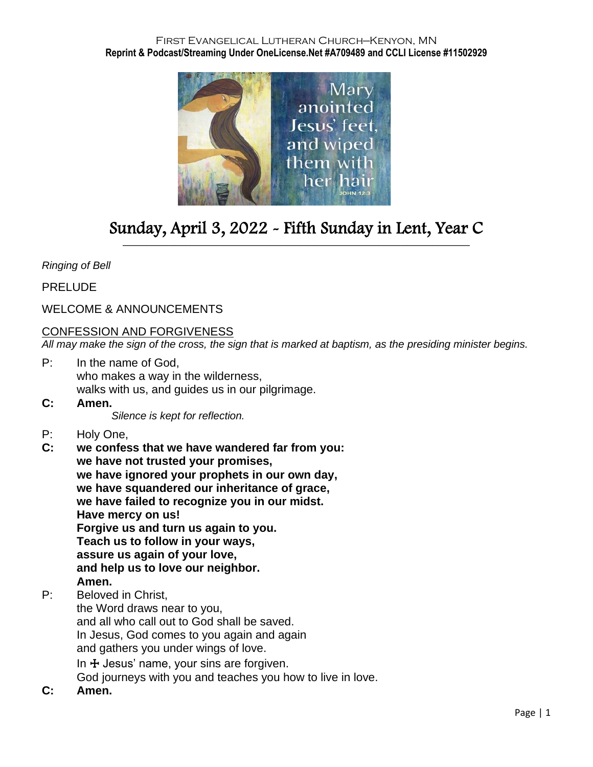#### First Evangelical Lutheran Church—Kenyon, MN **Reprint & Podcast/Streaming Under OneLicense.Net #A709489 and CCLI License #11502929**



# Sunday, April 3, 2022 - Fifth Sunday in Lent, Year C \_\_\_\_\_\_\_\_\_\_\_\_\_\_\_\_\_\_\_\_\_\_\_\_\_\_\_\_\_\_\_\_\_\_\_\_\_\_\_\_\_\_\_\_\_\_\_\_\_\_\_\_\_\_\_\_\_\_\_\_\_\_\_\_\_\_\_\_\_\_\_\_\_\_\_\_\_\_\_\_\_\_\_\_\_\_\_\_\_\_

### *Ringing of Bell*

PRELUDE

# WELCOME & ANNOUNCEMENTS

### CONFESSION AND FORGIVENESS

*All may make the sign of the cross, the sign that is marked at baptism, as the presiding minister begins.*

- P: In the name of God, who makes a way in the wilderness, walks with us, and guides us in our pilgrimage.
- **C: Amen.**

*Silence is kept for reflection.*

- P: Holy One,
- **C: we confess that we have wandered far from you: we have not trusted your promises, we have ignored your prophets in our own day, we have squandered our inheritance of grace, we have failed to recognize you in our midst. Have mercy on us! Forgive us and turn us again to you. Teach us to follow in your ways, assure us again of your love, and help us to love our neighbor. Amen.**
- P: Beloved in Christ,

the Word draws near to you, and all who call out to God shall be saved. In Jesus, God comes to you again and again and gathers you under wings of love. In  $\pm$  Jesus' name, your sins are forgiven. God journeys with you and teaches you how to live in love.

**C: Amen.**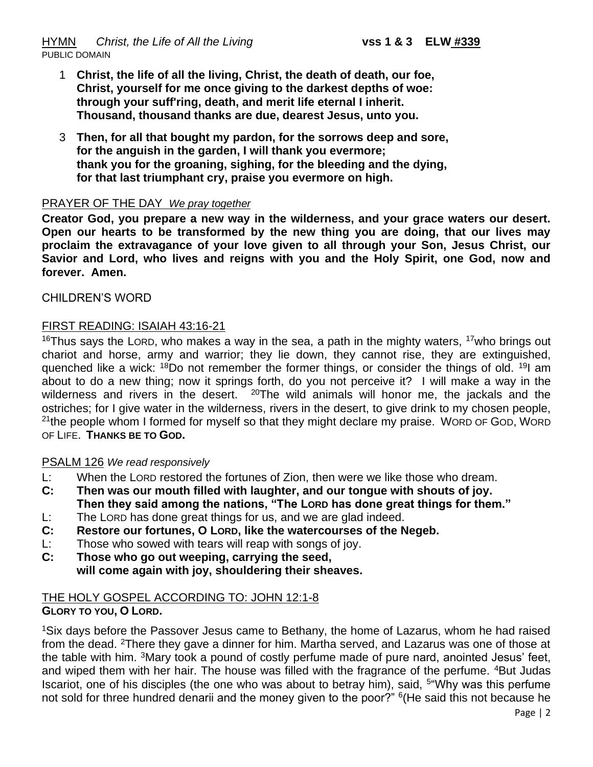- 1 **Christ, the life of all the living, Christ, the death of death, our foe, Christ, yourself for me once giving to the darkest depths of woe: through your suff'ring, death, and merit life eternal I inherit. Thousand, thousand thanks are due, dearest Jesus, unto you.**
- 3 **Then, for all that bought my pardon, for the sorrows deep and sore, for the anguish in the garden, I will thank you evermore; thank you for the groaning, sighing, for the bleeding and the dying, for that last triumphant cry, praise you evermore on high.**

### PRAYER OF THE DAY *We pray together*

**Creator God, you prepare a new way in the wilderness, and your grace waters our desert. Open our hearts to be transformed by the new thing you are doing, that our lives may proclaim the extravagance of your love given to all through your Son, Jesus Christ, our Savior and Lord, who lives and reigns with you and the Holy Spirit, one God, now and forever. Amen.**

#### CHILDREN'S WORD

### FIRST READING: ISAIAH 43:16-21

<sup>16</sup>Thus savs the LORD, who makes a way in the sea, a path in the mighty waters,  $17$  who brings out chariot and horse, army and warrior; they lie down, they cannot rise, they are extinguished, quenched like a wick: <sup>18</sup>Do not remember the former things, or consider the things of old. <sup>19</sup> am about to do a new thing; now it springs forth, do you not perceive it? I will make a way in the wilderness and rivers in the desert.  $20$ The wild animals will honor me, the jackals and the ostriches; for I give water in the wilderness, rivers in the desert, to give drink to my chosen people, <sup>21</sup>the people whom I formed for myself so that they might declare my praise. Word of God, Word OF LIFE. **THANKS BE TO GOD.**

#### PSALM 126 *We read responsively*

- L: When the LORD restored the fortunes of Zion, then were we like those who dream.
- **C: Then was our mouth filled with laughter, and our tongue with shouts of joy. Then they said among the nations, "The LORD has done great things for them."**
- L: The LORD has done great things for us, and we are glad indeed.
- **C: Restore our fortunes, O LORD, like the watercourses of the Negeb.**
- L: Those who sowed with tears will reap with songs of joy.
- **C: Those who go out weeping, carrying the seed, will come again with joy, shouldering their sheaves.**

# THE HOLY GOSPEL ACCORDING TO: JOHN 12:1-8

**GLORY TO YOU, O LORD.**

<sup>1</sup>Six days before the Passover Jesus came to Bethany, the home of Lazarus, whom he had raised from the dead. <sup>2</sup>There they gave a dinner for him. Martha served, and Lazarus was one of those at the table with him. <sup>3</sup>Mary took a pound of costly perfume made of pure nard, anointed Jesus' feet, and wiped them with her hair. The house was filled with the fragrance of the perfume. <sup>4</sup>But Judas Iscariot, one of his disciples (the one who was about to betray him), said, <sup>5"</sup>Why was this perfume not sold for three hundred denarii and the money given to the poor?" <sup>6</sup>(He said this not because he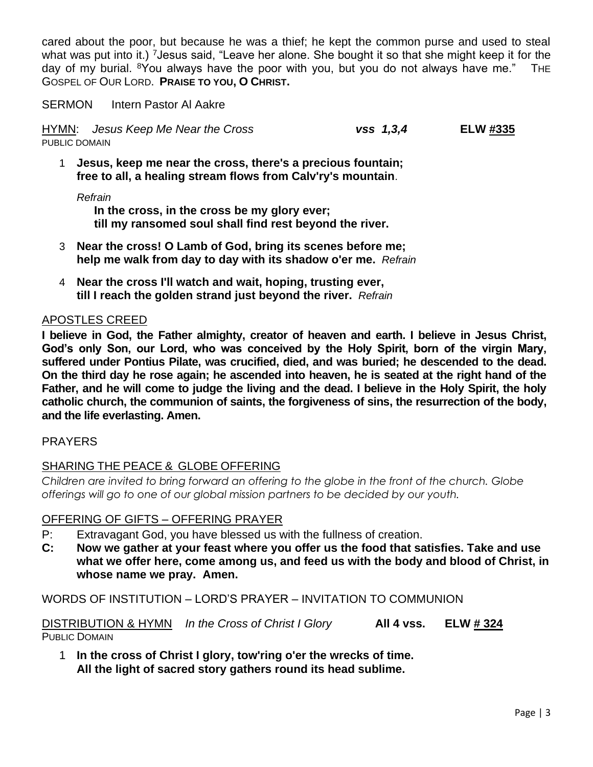cared about the poor, but because he was a thief; he kept the common purse and used to steal what was put into it.) <sup>7</sup> Jesus said, "Leave her alone. She bought it so that she might keep it for the day of my burial. <sup>8</sup>You always have the poor with you, but you do not always have me." THE GOSPEL OF OUR LORD. **PRAISE TO YOU, O CHRIST.**

SERMON Intern Pastor Al Aakre

HYMN: *Jesus Keep Me Near the Cross vss 1,3,4* **ELW #335** PUBLIC DOMAIN

1 **Jesus, keep me near the cross, there's a precious fountain; free to all, a healing stream flows from Calv'ry's mountain**.

*Refrain*

**In the cross, in the cross be my glory ever; till my ransomed soul shall find rest beyond the river.**

- 3 **Near the cross! O Lamb of God, bring its scenes before me; help me walk from day to day with its shadow o'er me.** *Refrain*
- 4 **Near the cross I'll watch and wait, hoping, trusting ever, till I reach the golden strand just beyond the river.** *Refrain*

# APOSTLES CREED

**I believe in God, the Father almighty, creator of heaven and earth. I believe in Jesus Christ, God's only Son, our Lord, who was conceived by the Holy Spirit, born of the virgin Mary, suffered under Pontius Pilate, was crucified, died, and was buried; he descended to the dead. On the third day he rose again; he ascended into heaven, he is seated at the right hand of the Father, and he will come to judge the living and the dead. I believe in the Holy Spirit, the holy catholic church, the communion of saints, the forgiveness of sins, the resurrection of the body, and the life everlasting. Amen.**

# PRAYERS

# SHARING THE PEACE & GLOBE OFFERING

*Children are invited to bring forward an offering to the globe in the front of the church. Globe offerings will go to one of our global mission partners to be decided by our youth.*

# OFFERING OF GIFTS – OFFERING PRAYER

- P: Extravagant God, you have blessed us with the fullness of creation.
- **C: Now we gather at your feast where you offer us the food that satisfies. Take and use what we offer here, come among us, and feed us with the body and blood of Christ, in whose name we pray. Amen.**

WORDS OF INSTITUTION – LORD'S PRAYER – INVITATION TO COMMUNION

DISTRIBUTION & HYMN *In the Cross of Christ I Glory* **All 4 vss. ELW # 324** PUBLIC DOMAIN

1 **In the cross of Christ I glory, tow'ring o'er the wrecks of time. All the light of sacred story gathers round its head sublime.**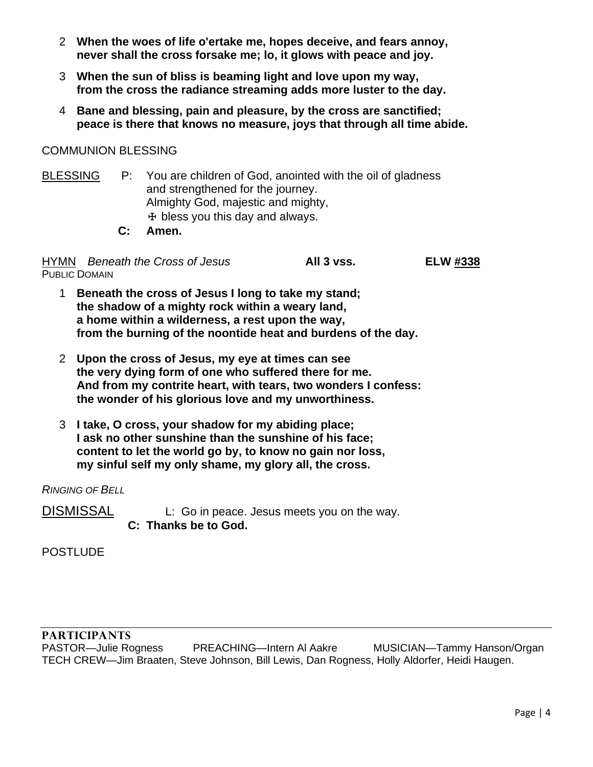- 2 **When the woes of life o'ertake me, hopes deceive, and fears annoy, never shall the cross forsake me; lo, it glows with peace and joy.**
- 3 **When the sun of bliss is beaming light and love upon my way, from the cross the radiance streaming adds more luster to the day.**
- 4 **Bane and blessing, pain and pleasure, by the cross are sanctified; peace is there that knows no measure, joys that through all time abide.**

# COMMUNION BLESSING

BLESSING P: You are children of God, anointed with the oil of gladness and strengthened for the journey. Almighty God, majestic and mighty,  $<sup>+</sup>$  bless you this day and always.</sup>

 **C: Amen.**

HYMN *Beneath the Cross of Jesus* **All 3 vss. ELW #338** PUBLIC DOMAIN

- 1 **Beneath the cross of Jesus I long to take my stand; the shadow of a mighty rock within a weary land, a home within a wilderness, a rest upon the way, from the burning of the noontide heat and burdens of the day.**
- 2 **Upon the cross of Jesus, my eye at times can see the very dying form of one who suffered there for me. And from my contrite heart, with tears, two wonders I confess: the wonder of his glorious love and my unworthiness.**
- 3 **I take, O cross, your shadow for my abiding place; I ask no other sunshine than the sunshine of his face; content to let the world go by, to know no gain nor loss, my sinful self my only shame, my glory all, the cross.**

#### *RINGING OF BELL*

DISMISSAL L: Go in peace. Jesus meets you on the way.  **C: Thanks be to God.**

**POSTLUDE** 

PASTOR—Julie Rogness PREACHING—Intern Al Aakre MUSICIAN—Tammy Hanson/Organ TECH CREW—Jim Braaten, Steve Johnson, Bill Lewis, Dan Rogness, Holly Aldorfer, Heidi Haugen.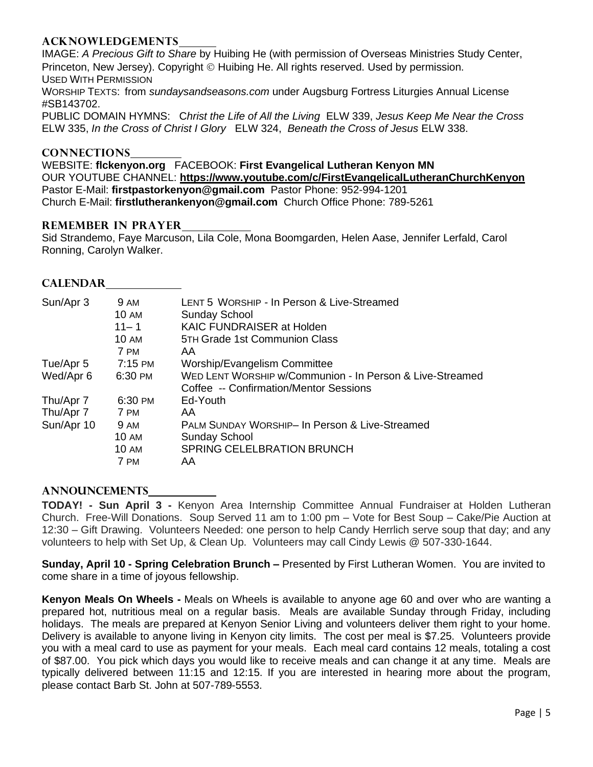### **ACKNOWLEDGEMENTS**

IMAGE: *A Precious Gift to Share* by Huibing He (with permission of Overseas Ministries Study Center, Princeton, New Jersey). Copyright © Huibing He. All rights reserved. Used by permission. USED WITH PERMISSION

WORSHIP TEXTS: from *sundaysandseasons.com* under Augsburg Fortress Liturgies Annual License #SB143702.

PUBLIC DOMAIN HYMNS: C*hrist the Life of All the Living* ELW 339, *Jesus Keep Me Near the Cross*  ELW 335, *In the Cross of Christ I Glory* ELW 324, *Beneath the Cross of Jesus* ELW 338.

#### **CONNECTIONS**

WEBSITE: **flckenyon.org** FACEBOOK: **First Evangelical Lutheran Kenyon MN** OUR YOUTUBE CHANNEL: **<https://www.youtube.com/c/FirstEvangelicalLutheranChurchKenyon>** Pastor E-Mail: **[firstpastorkenyon@gmail.com](mailto:firstpastorkenyon@gmail.com)** Pastor Phone: 952-994-1201 Church E-Mail: **[firstlutherankenyon@gmail.com](mailto:firstlutherankenyon@gmail.com)** Church Office Phone: 789-5261

#### **REMEMBER IN PRAYER**

Sid Strandemo, Faye Marcuson, Lila Cole, Mona Boomgarden, Helen Aase, Jennifer Lerfald, Carol Ronning, Carolyn Walker.

#### **CALENDAR**

| Sun/Apr 3  | <b>9 AM</b>  | LENT 5 WORSHIP - In Person & Live-Streamed               |
|------------|--------------|----------------------------------------------------------|
|            | <b>10 AM</b> | <b>Sunday School</b>                                     |
|            | $11 - 1$     | <b>KAIC FUNDRAISER at Holden</b>                         |
|            | <b>10 AM</b> | 5TH Grade 1st Communion Class                            |
|            | 7 PM         | AA                                                       |
| Tue/Apr 5  | 7:15 PM      | Worship/Evangelism Committee                             |
| Wed/Apr 6  | 6:30 PM      | WED LENT WORSHIP w/Communion - In Person & Live-Streamed |
|            |              | Coffee -- Confirmation/Mentor Sessions                   |
| Thu/Apr 7  | 6:30 PM      | Ed-Youth                                                 |
| Thu/Apr 7  | 7 PM         | AA                                                       |
| Sun/Apr 10 | 9 AM         | PALM SUNDAY WORSHIP- In Person & Live-Streamed           |
|            | 10 AM        | <b>Sunday School</b>                                     |
|            | <b>10 AM</b> | <b>SPRING CELELBRATION BRUNCH</b>                        |
|            | 7 PM         | AA                                                       |
|            |              |                                                          |

#### **ANNOUNCEMENTS**

**TODAY! - Sun April 3 -** Kenyon Area Internship Committee Annual Fundraiser at Holden Lutheran Church. Free-Will Donations. Soup Served 11 am to 1:00 pm – Vote for Best Soup – Cake/Pie Auction at 12:30 – Gift Drawing. Volunteers Needed: one person to help Candy Herrlich serve soup that day; and any volunteers to help with Set Up, & Clean Up. Volunteers may call Cindy Lewis @ 507-330-1644.

**Sunday, April 10 - Spring Celebration Brunch –** Presented by First Lutheran Women. You are invited to come share in a time of joyous fellowship.

**Kenyon Meals On Wheels -** Meals on Wheels is available to anyone age 60 and over who are wanting a prepared hot, nutritious meal on a regular basis. Meals are available Sunday through Friday, including holidays. The meals are prepared at Kenyon Senior Living and volunteers deliver them right to your home. Delivery is available to anyone living in Kenyon city limits. The cost per meal is \$7.25. Volunteers provide you with a meal card to use as payment for your meals. Each meal card contains 12 meals, totaling a cost of \$87.00. You pick which days you would like to receive meals and can change it at any time. Meals are typically delivered between 11:15 and 12:15. If you are interested in hearing more about the program, please contact Barb St. John at 507-789-5553.